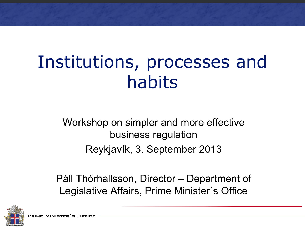# Institutions, processes and habits

Workshop on simpler and more effective business regulation Reykjavík, 3. September 2013

Páll Thórhallsson, Director – Department of Legislative Affairs, Prime Minister´s Office



PRIME MINISTER'S OFFICE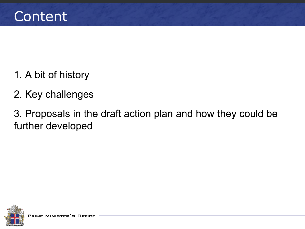- 1. A bit of history
- 2. Key challenges

3. Proposals in the draft action plan and how they could be further developed

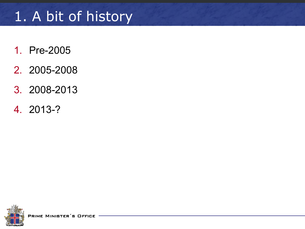# 1. A bit of history

- 1. Pre-2005
- 2. 2005-2008
- 3. 2008-2013
- 4. 2013-?

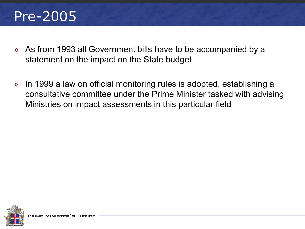# Pre-2005

- » As from 1993 all Government bills have to be accompanied by a statement on the impact on the State budget
- » In 1999 a law on official monitoring rules is adopted, establishing a consultative committee under the Prime Minister tasked with advising Ministries on impact assessments in this particular field

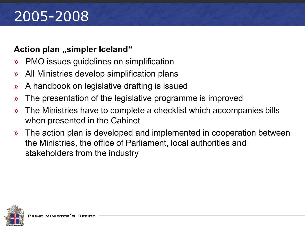# 2005-2008

#### **Action plan ,,simpler Iceland**"

- » PMO issues guidelines on simplification
- » All Ministries develop simplification plans
- » A handbook on legislative drafting is issued
- » The presentation of the legislative programme is improved
- » The Ministries have to complete a checklist which accompanies bills when presented in the Cabinet
- » The action plan is developed and implemented in cooperation between the Ministries, the office of Parliament, local authorities and stakeholders from the industry

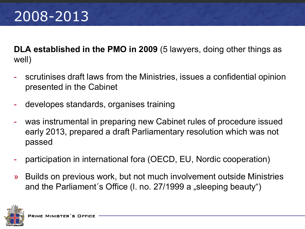# 2008-2013

**DLA established in the PMO in 2009** (5 lawyers, doing other things as well)

- scrutinises draft laws from the Ministries, issues a confidential opinion presented in the Cabinet
- developes standards, organises training
- was instrumental in preparing new Cabinet rules of procedure issued early 2013, prepared a draft Parliamentary resolution which was not passed
- participation in international fora (OECD, EU, Nordic cooperation)
- » Builds on previous work, but not much involvement outside Ministries and the Parliament's Office (I. no. 27/1999 a "sleeping beauty")

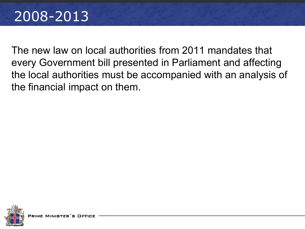### 2008-2013

The new law on local authorities from 2011 mandates that every Government bill presented in Parliament and affecting the local authorities must be accompanied with an analysis of the financial impact on them.

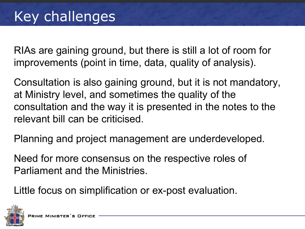RIAs are gaining ground, but there is still a lot of room for improvements (point in time, data, quality of analysis).

Consultation is also gaining ground, but it is not mandatory, at Ministry level, and sometimes the quality of the consultation and the way it is presented in the notes to the relevant bill can be criticised.

Planning and project management are underdeveloped.

Need for more consensus on the respective roles of Parliament and the Ministries.

Little focus on simplification or ex-post evaluation.

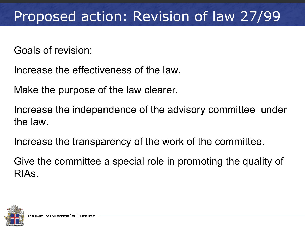# Proposed action: Revision of law 27/99

Goals of revision:

Increase the effectiveness of the law.

Make the purpose of the law clearer.

Increase the independence of the advisory committee under the law.

Increase the transparency of the work of the committee.

Give the committee a special role in promoting the quality of RIAs.

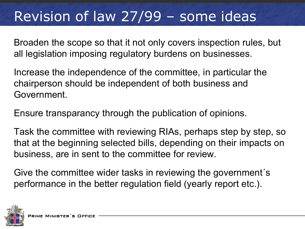# Revision of law 27/99 – some ideas

Broaden the scope so that it not only covers inspection rules, but all legislation imposing regulatory burdens on businesses.

Increase the independence of the committee, in particular the chairperson should be independent of both business and Government.

Ensure transparancy through the publication of opinions.

Task the committee with reviewing RIAs, perhaps step by step, so that at the beginning selected bills, depending on their impacts on business, are in sent to the committee for review.

Give the committee wider tasks in reviewing the government´s performance in the better regulation field (yearly report etc.).

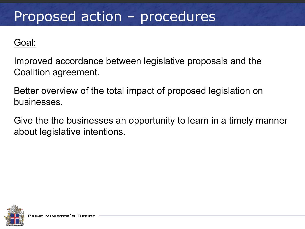### Proposed action – procedures

#### Goal:

Improved accordance between legislative proposals and the Coalition agreement.

Better overview of the total impact of proposed legislation on businesses.

Give the the businesses an opportunity to learn in a timely manner about legislative intentions.

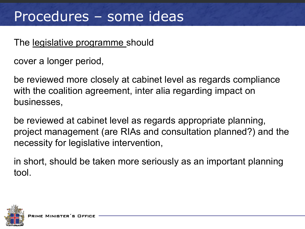### Procedures – some ideas

#### The legislative programme should

cover a longer period,

be reviewed more closely at cabinet level as regards compliance with the coalition agreement, inter alia regarding impact on businesses,

be reviewed at cabinet level as regards appropriate planning, project management (are RIAs and consultation planned?) and the necessity for legislative intervention,

in short, should be taken more seriously as an important planning tool.